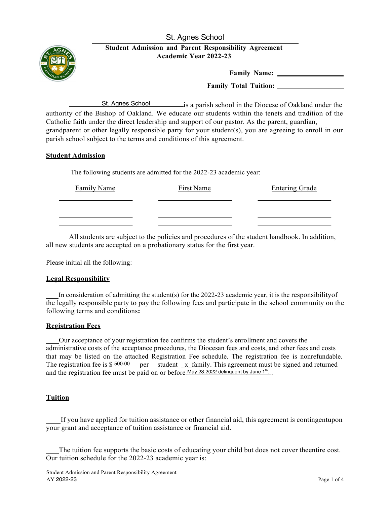St. Agnes School



# **Student Admission and Parent Responsibility Agreement Academic Year 2022-23**

**Family Name:** 

**Family Total Tuition:**

St. Agnes School is a parish school in the Diocese of Oakland under the authority of the Bishop of Oakland. We educate our students within the tenets and tradition of the Catholic faith under the direct leadership and support of our pastor. As the parent, guardian, grandparent or other legally responsible party for your student(s), you are agreeing to enroll in our parish school subject to the terms and conditions of this agreement.

# **Student Admission**

The following students are admitted for the 2022-23 academic year:

| Family Name | First Name | <b>Entering Grade</b> |
|-------------|------------|-----------------------|
|             |            |                       |
|             |            |                       |

All students are subject to the policies and procedures of the student handbook. In addition, all new students are accepted on a probationary status for the first year.

Please initial all the following:

## **Legal Responsibility**

In consideration of admitting the student(s) for the 2022-23 academic year, it is the responsibilityof the legally responsible party to pay the following fees and participate in the school community on the following terms and conditions**:**

# **Registration Fees**

Our acceptance of your registration fee confirms the student's enrollment and covers the administrative costs of the acceptance procedures, the Diocesan fees and costs, and other fees and costs that may be listed on the attached Registration Fee schedule. The registration fee is nonrefundable. The registration fee is  $$500.00$  per student x family. This agreement must be signed and returned and the registration fee must be paid on or before May 23,2022 delinquent by June 1<sup>st</sup>.

## **Tuition**

If you have applied for tuition assistance or other financial aid, this agreement is contingentupon your grant and acceptance of tuition assistance or financial aid.

 The tuition fee supports the basic costs of educating your child but does not cover theentire cost. Our tuition schedule for the 2022-23 academic year is: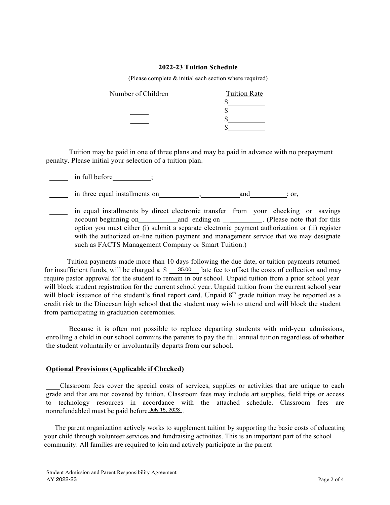#### **2022-23 Tuition Schedule**

(Please complete & initial each section where required)

| Number of Children | <b>Tuition Rate</b> |
|--------------------|---------------------|
|                    |                     |
|                    |                     |
|                    |                     |
|                    |                     |

Tuition may be paid in one of three plans and may be paid in advance with no prepayment penalty. Please initial your selection of a tuition plan.

 $\frac{1}{\sqrt{1-\frac{1}{\sqrt{1-\frac{1}{\sqrt{1-\frac{1}{\sqrt{1-\frac{1}{\sqrt{1-\frac{1}{\sqrt{1-\frac{1}{\sqrt{1-\frac{1}{\sqrt{1-\frac{1}{\sqrt{1-\frac{1}{\sqrt{1-\frac{1}{\sqrt{1-\frac{1}{\sqrt{1-\frac{1}{\sqrt{1-\frac{1}{\sqrt{1-\frac{1}{\sqrt{1-\frac{1}{\sqrt{1-\frac{1}{\sqrt{1-\frac{1}{\sqrt{1-\frac{1}{\sqrt{1-\frac{1}{\sqrt{1-\frac{1}{\sqrt{1-\frac{1}{\sqrt{1-\frac{1}{\sqrt{1-\frac{1}{\sqrt{1-\frac{1$ 

in three equal installments on , and ; or,

in equal installments by direct electronic transfer from your checking or savings account beginning on and ending on \_\_ . (Please note that for this option you must either (i) submit a separate electronic payment authorization or (ii) register with the authorized on-line tuition payment and management service that we may designate such as FACTS Management Company or Smart Tuition.)

Tuition payments made more than 10 days following the due date, or tuition payments returned for insufficient funds, will be charged a \$ 35.00 late fee to offset the costs of collection and may require pastor approval for the student to remain in our school. Unpaid tuition from a prior school year will block student registration for the current school year. Unpaid tuition from the current school year will block issuance of the student's final report card. Unpaid 8<sup>th</sup> grade tuition may be reported as a credit risk to the Diocesan high school that the student may wish to attend and will block the student from participating in graduation ceremonies.

Because it is often not possible to replace departing students with mid-year admissions, enrolling a child in our school commits the parents to pay the full annual tuition regardless of whether the student voluntarily or involuntarily departs from our school.

#### **Optional Provisions (Applicable if Checked)**

\_\_\_ Classroom fees cover the special costs of services, supplies or activities that are unique to each grade and that are not covered by tuition. Classroom fees may include art supplies, field trips or access to technology resources in accordance with the attached schedule. Classroom fees are nonrefundabled must be paid before July 15, 2023 .

 The parent organization actively works to supplement tuition by supporting the basic costs of educating your child through volunteer services and fundraising activities. This is an important part of the school community. All families are required to join and actively participate in the parent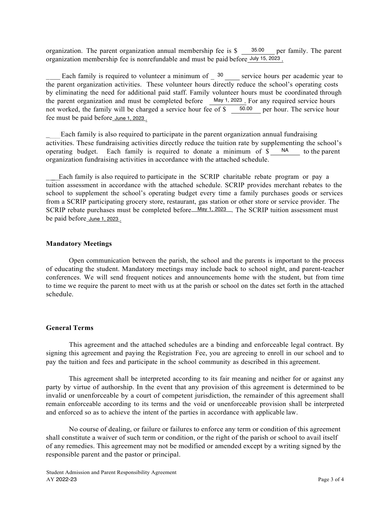organization. The parent organization annual membership fee is \$ 35.00 per family. The parent organization membership fee is nonrefundable and must be paid before July 15, 2023 .

Each family is required to volunteer a minimum of  $\frac{30}{20}$  service hours per academic year to the parent organization activities. These volunteer hours directly reduce the school's operating costs by eliminating the need for additional paid staff. Family volunteer hours must be coordinated through the parent organization and must be completed before May 1, 2023. For any required service hours not worked, the family will be charged a service hour fee of  $\frac{1}{2}$  50.00 per hour. The service hour fee must be paid before June 1, <sup>2023</sup> .

 $\frac{1}{2}$ Each family is also required to participate in the parent organization annual fundraising activities. These fundraising activities directly reduce the tuition rate by supplementing the school's operating budget. Each family is required to donate a minimum of \$ NA organization fundraising activities in accordance with the attached schedule. to the parent

Each family is also required to participate in the SCRIP charitable rebate program or pay a tuition assessment in accordance with the attached schedule. SCRIP provides merchant rebates to the school to supplement the school's operating budget every time a family purchases goods or services from a SCRIP participating grocery store, restaurant, gas station or other store or service provider. The SCRIP rebate purchases must be completed before May 1, 2023. The SCRIP tuition assessment must be paid before June 1, 2023 .

# **Mandatory Meetings**

Open communication between the parish, the school and the parents is important to the process of educating the student. Mandatory meetings may include back to school night, and parent-teacher conferences. We will send frequent notices and announcements home with the student, but from time to time we require the parent to meet with us at the parish or school on the dates set forth in the attached schedule.

#### **General Terms**

This agreement and the attached schedules are a binding and enforceable legal contract. By signing this agreement and paying the Registration Fee, you are agreeing to enroll in our school and to pay the tuition and fees and participate in the school community as described in this agreement.

This agreement shall be interpreted according to its fair meaning and neither for or against any party by virtue of authorship. In the event that any provision of this agreement is determined to be invalid or unenforceable by a court of competent jurisdiction, the remainder of this agreement shall remain enforceable according to its terms and the void or unenforceable provision shall be interpreted and enforced so as to achieve the intent of the parties in accordance with applicable law.

No course of dealing, or failure or failures to enforce any term or condition of this agreement shall constitute a waiver of such term or condition, or the right of the parish or school to avail itself of any remedies. This agreement may not be modified or amended except by a writing signed by the responsible parent and the pastor or principal.